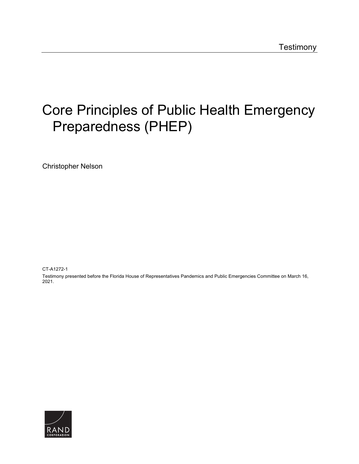## [Core Principles of Public Health Emergency](https://www.rand.org/pubs/testimonies/CTA1272-1.html)  Preparedness (PHEP)

Christopher Nelson

CT-A1272-1

Testimony presented before the Florida House of Representatives Pandemics and Public Emergencies Committee on March 16, 2021.

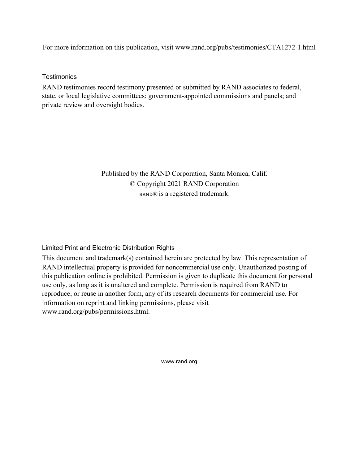For more information on this publication, visit [www.rand.org/pubs/testimonies/CTA1272-1.html](http://www.rand.org/pubs/testimonies/CTA1272-1.html) 

## **Testimonies**

RAND testimonies record testimony presented or submitted by RAND associates to federal, state, or local legislative committees; government-appointed commissions and panels; and private review and oversight bodies.

> Published by the RAND Corporation, Santa Monica, Calif. © Copyright 2021 RAND Corporation RAND® is a registered trademark.

## Limited Print and Electronic Distribution Rights

This document and trademark(s) contained herein are protected by law. This representation of RAND intellectual property is provided for noncommercial use only. Unauthorized posting of this publication online is prohibited. Permission is given to duplicate this document for personal use only, as long as it is unaltered and complete. Permission is required from RAND to reproduce, or reuse in another form, any of its research documents for commercial use. For information on reprint and linking permissions, please visit [www.rand.org/pubs/permissions.html.](http://www.rand.org/pubs/permissions.html)

[www.rand.org](http://www.rand.org)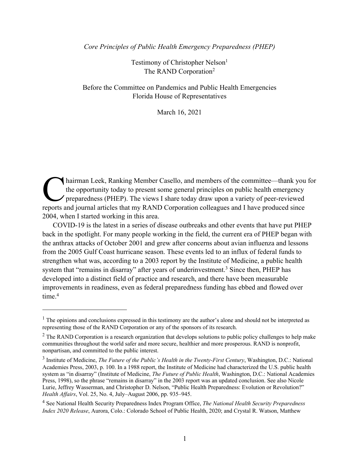*Core Principles of Public Health Emergency Preparedness (PHEP)* 

Testimony of Christopher Nelson<sup>1</sup> The RAND Corporation2

Before the Committee on Pandemics and Public Health Emergencies Florida House of Representatives

March 16, 2021

hairman Leek, Ranking Member Casello, and members of the committee—thank you for the opportunity today to present some general principles on public health emergency  $\prime$  preparedness (PHEP). The views I share today draw upon a variety of peer-reviewed Thairman Leek, Ranking Member Casello, and members of the committee—thank you the opportunity today to present some general principles on public health emergency preparedness (PHEP). The views I share today draw upon a var 2004, when I started working in this area.

COVID-19 is the latest in a series of disease outbreaks and other events that have put PHEP back in the spotlight. For many people working in the field, the current era of PHEP began with the anthrax attacks of October 2001 and grew after concerns about avian influenza and lessons from the 2005 Gulf Coast hurricane season. These events led to an influx of federal funds to strengthen what was, according to a 2003 report by the Institute of Medicine, a public health system that "remains in disarray" after years of underinvestment.<sup>3</sup> Since then, PHEP has developed into a distinct field of practice and research, and there have been measurable improvements in readiness, even as federal preparedness funding has ebbed and flowed over time. 4

<sup>&</sup>lt;sup>1</sup> The opinions and conclusions expressed in this testimony are the author's alone and should not be interpreted as representing those of the RAND Corporation or any of the sponsors of its research.

 $<sup>2</sup>$  The RAND Corporation is a research organization that develops solutions to public policy challenges to help make</sup> communities throughout the world safer and more secure, healthier and more prosperous. RAND is nonprofit, nonpartisan, and committed to the public interest.

<sup>3</sup> Institute of Medicine, *The Future of the Public's Health in the Twenty-First Century*, Washington, D.C.: National Academies Press, 2003, p. 100. In a 1988 report, the Institute of Medicine had characterized the U.S. public health system as "in disarray" (Institute of Medicine, *The Future of Public Health*, Washington, D.C.: National Academies Press, 1998), so the phrase "remains in disarray" in the 2003 report was an updated conclusion. See also Nicole Lurie, Jeffrey Wasserman, and Christopher D. Nelson, "Public Health Preparedness: Evolution or Revolution?" *Health Affairs*, Vol. 25, No. 4, July–August 2006, pp. 935–945.

<sup>4</sup> See National Health Security Preparedness Index Program Office, *The National Health Security Preparedness Index 2020 Release*, Aurora, Colo.: Colorado School of Public Health, 2020; and Crystal R. Watson, Matthew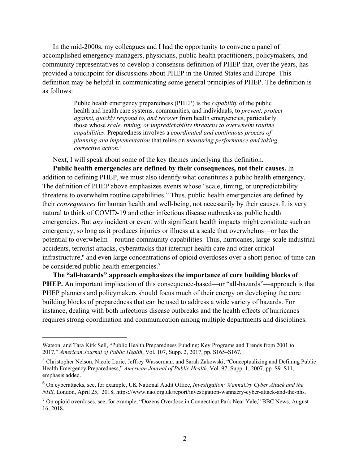In the mid-2000s, my colleagues and I had the opportunity to convene a panel of accomplished emergency managers, physicians, public health practitioners, policymakers, and community representatives to develop a consensus definition of PHEP that, over the years, has provided a touchpoint for discussions about PHEP in the United States and Europe. This definition may be helpful in communicating some general principles of PHEP. The definition is as follows:

> Public health emergency preparedness (PHEP) is the *capability* of the public health and health care systems, communities, and individuals, to *prevent, protect against, quickly respond to, and recover* from health emergencies, particularly those whose *scale, timing, or unpredictability threatens to overwhelm routine capabilities*. Preparedness involves a *coordinated and continuous process of planning and implementation* that relies on *measuring performance and taking corrective action*. 5

Next, I will speak about some of the key themes underlying this definition.

**Public health emergencies are defined by their consequences, not their causes.** In addition to defining PHEP, we must also identify what constitutes a public health emergency. The definition of PHEP above emphasizes events whose "scale, timing, or unpredictability threatens to overwhelm routine capabilities." Thus, public health emergencies are defined by their *consequences* for human health and well-being, not necessarily by their causes. It is very natural to think of COVID-19 and other infectious disease outbreaks as public health emergencies. But *any* incident or event with significant health impacts might constitute such an emergency, so long as it produces injuries or illness at a scale that overwhelms—or has the potential to overwhelm—routine community capabilities. Thus, hurricanes, large-scale industrial accidents, terrorist attacks, cyberattacks that interrupt health care and other critical infrastructure,<sup>6</sup> and even large concentrations of opioid overdoses over a short period of time can be considered public health emergencies.<sup>7</sup>

**The "all-hazards" approach emphasizes the importance of core building blocks of PHEP.** An important implication of this consequence-based—or "all-hazards"—approach is that PHEP planners and policymakers should focus much of their energy on developing the core building blocks of preparedness that can be used to address a wide variety of hazards. For instance, dealing with both infectious disease outbreaks and the health effects of hurricanes requires strong coordination and communication among multiple departments and disciplines.

Watson, and Tara Kirk Sell, "Public Health Preparedness Funding: Key Programs and Trends from 2001 to 2017," *American Journal of Public Health*, Vol. 107, Supp. 2, 2017, pp. S165–S167.

<sup>5</sup> Christopher Nelson, Nicole Lurie, Jeffrey Wasserman, and Sarah Zakowski, "Conceptualizing and Defining Public Health Emergency Preparedness," *American Journal of Public Health*, Vol. 97, Supp. 1, 2007, pp. S9–S11, emphasis added.

<sup>6</sup> On cyberattacks, see, for example, UK National Audit Office, *Investigation: WannaCry Cyber Attack and the NHS*, London, April 25, 2018, [https://www.nao.org.uk/report/investigation-wannacry-cyber-attack-and-the-nhs.](https://www.nao.org.uk/report/investigation-wannacry-cyber-attack-and-the-nhs)

 $<sup>7</sup>$  On opioid overdoses, see, for example, "Dozens Overdose in Connecticut Park Near Yale," BBC News, August</sup> 16, 2018.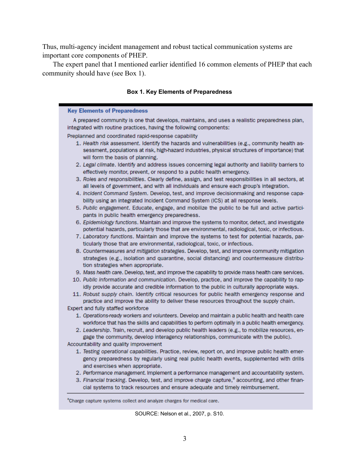Thus, multi-agency incident management and robust tactical communication systems are important core components of PHEP.

The expert panel that I mentioned earlier identified 16 common elements of PHEP that each community should have (see Box 1).

## **Box 1. Key Elements of Preparedness**

| <b>Key Elements of Preparedness</b>                                                                                                                                                                                                   |
|---------------------------------------------------------------------------------------------------------------------------------------------------------------------------------------------------------------------------------------|
| A prepared community is one that develops, maintains, and uses a realistic preparedness plan,                                                                                                                                         |
| integrated with routine practices, having the following components:                                                                                                                                                                   |
| Preplanned and coordinated rapid-response capability                                                                                                                                                                                  |
| 1. Health risk assessment. Identify the hazards and vulnerabilities (e.g., community health as-<br>sessment, populations at risk, high-hazard industries, physical structures of importance) that<br>will form the basis of planning. |
| 2. Legal climate. Identify and address issues concerning legal authority and liability barriers to<br>effectively monitor, prevent, or respond to a public health emergency.                                                          |
| 3. Roles and responsibilities. Clearly define, assign, and test responsibilities in all sectors, at<br>all levels of government, and with all individuals and ensure each group's integration.                                        |
| 4. Incident Command System. Develop, test, and improve decisionmaking and response capa-<br>bility using an integrated Incident Command System (ICS) at all response levels.                                                          |
| 5. Public engagement. Educate, engage, and mobilize the public to be full and active partici-<br>pants in public health emergency preparedness.                                                                                       |
| 6. Epidemiology functions. Maintain and improve the systems to monitor, detect, and investigate<br>potential hazards, particularly those that are environmental, radiological, toxic, or infectious.                                  |
| 7. Laboratory functions. Maintain and improve the systems to test for potential hazards, par-<br>ticularly those that are environmental, radiological, toxic, or infectious.                                                          |
| 8. Countermeasures and mitigation strategies. Develop, test, and improve community mitigation<br>strategies (e.g., isolation and quarantine, social distancing) and countermeasure distribu-<br>tion strategies when appropriate.     |
| 9. Mass health care. Develop, test, and improve the capability to provide mass health care services.                                                                                                                                  |
| 10. Public information and communication. Develop, practice, and improve the capability to rap-<br>idly provide accurate and credible information to the public in culturally appropriate ways.                                       |
| 11. Robust supply chain. Identify critical resources for public health emergency response and<br>practice and improve the ability to deliver these resources throughout the supply chain.<br>Expert and fully staffed workforce       |
| 1. Operations-ready workers and volunteers. Develop and maintain a public health and health care                                                                                                                                      |
| workforce that has the skills and capabilities to perform optimally in a public health emergency.<br>2. Leadership. Train, recruit, and develop public health leaders (e.g., to mobilize resources, en-                               |
| gage the community, develop interagency relationships, communicate with the public).                                                                                                                                                  |
| Accountability and quality improvement                                                                                                                                                                                                |
| 1. Testing operational capabilities. Practice, review, report on, and improve public health emer-<br>gency preparedness by regularly using real public health events, supplemented with drills<br>and exercises when appropriate.     |
| 2. Performance management. Implement a performance management and accountability system.                                                                                                                                              |
| 3. Financial tracking. Develop, test, and improve charge capture, <sup>a</sup> accounting, and other finan-<br>cial systems to track resources and ensure adequate and timely reimbursement.                                          |
| <sup>a</sup> Charge capture systems collect and analyze charges for medical care.                                                                                                                                                     |

SOURCE: Nelson et al., 2007, p. S10.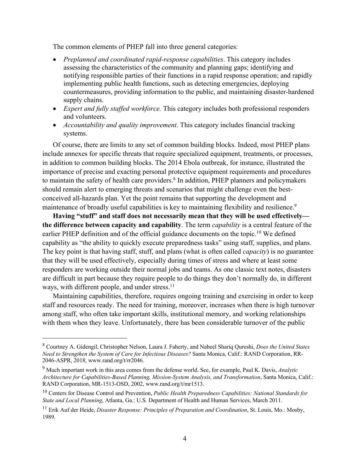The common elements of PHEP fall into three general categories:

- *Preplanned and coordinated rapid-response capabilities*. This category includes assessing the characteristics of the community and planning gaps; identifying and notifying responsible parties of their functions in a rapid response operation; and rapidly implementing public health functions, such as detecting emergencies, deploying countermeasures, providing information to the public, and maintaining disaster-hardened supply chains.
- *Expert and fully staffed workforce.* This category includes both professional responders and volunteers.
- *Accountability and quality improvement*. This category includes financial tracking systems.

Of course, there are limits to any set of common building blocks. Indeed, most PHEP plans include annexes for specific threats that require specialized equipment, treatments, or processes, in addition to common building blocks. The 2014 Ebola outbreak, for instance, illustrated the importance of precise and exacting personal protective equipment requirements and procedures to maintain the safety of health care providers.<sup>8</sup> In addition, PHEP planners and policymakers should remain alert to emerging threats and scenarios that might challenge even the bestconceived all-hazards plan. Yet the point remains that supporting the development and maintenance of broadly useful capabilities is key to maintaining flexibility and resilience.<sup>9</sup>

**Having "stuff" and staff does not necessarily mean that they will be used effectively the difference between capacity and capability**. The term *capability* is a central feature of the earlier PHEP definition and of the official guidance documents on the topic.<sup>10</sup> We defined capability as "the ability to quickly execute preparedness tasks" using staff, supplies, and plans. The key point is that having staff, stuff, and plans (what is often called *capacity*) is no guarantee that they will be used effectively, especially during times of stress and where at least some responders are working outside their normal jobs and teams. As one classic text notes, disasters are difficult in part because they require people to do things they don't normally do, in different ways, with different people, and under stress.<sup>11</sup>

Maintaining capabilities, therefore, requires ongoing training and exercising in order to keep staff and resources ready. The need for training, moreover, increases when there is high turnover among staff, who often take important skills, institutional memory, and working relationships with them when they leave. Unfortunately, there has been considerable turnover of the public

<sup>8</sup> Courtney A. Gidengil, Christopher Nelson, Laura J. Faherty, and Nabeel Shariq Qureshi, *Does the United States Need to Strengthen the System of Care for Infectious Diseases?* Santa Monica, Calif.: RAND Corporation, RR-2046-ASPR, 2018, [www.rand.org/t/rr2046.](http://www.rand.org/t/rr2046)

<sup>9</sup> Much important work in this area comes from the defense world. See, for example, Paul K. Davis, *Analytic Architecture for Capabilities-Based Planning, Mission-System Analysis, and Transformation*, Santa Monica, Calif.: RAND Corporation, MR-1513-OSD, 2002, [www.rand.org/t/mr1513](http://www.rand.org/t/mr1513).

<sup>10</sup> Centers for Disease Control and Prevention, *Public Health Preparedness Capabilities: National Standards for State and Local Planning*, Atlanta, Ga.: U.S. Department of Health and Human Services, March 2011.

<sup>11</sup> Erik Auf der Heide, *Disaster Response: Principles of Preparation and Coordination*, St. Louis, Mo.: Mosby, 1989.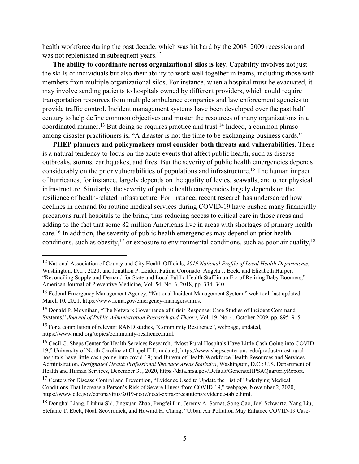health workforce during the past decade, which was hit hard by the 2008–2009 recession and was not replenished in subsequent years.<sup>12</sup>

**The ability to coordinate across organizational silos is key.** Capability involves not just the skills of individuals but also their ability to work well together in teams, including those with members from multiple organizational silos. For instance, when a hospital must be evacuated, it may involve sending patients to hospitals owned by different providers, which could require transportation resources from multiple ambulance companies and law enforcement agencies to provide traffic control. Incident management systems have been developed over the past half century to help define common objectives and muster the resources of many organizations in a coordinated manner.<sup>13</sup> But doing so requires practice and trust.<sup>14</sup> Indeed, a common phrase among disaster practitioners is, "A disaster is not the time to be exchanging business cards."

**PHEP planners and policymakers must consider both threats and vulnerabilities**. There is a natural tendency to focus on the acute events that affect public health, such as disease outbreaks, storms, earthquakes, and fires. But the severity of public health emergencies depends considerably on the prior vulnerabilities of populations and infrastructure.15 The human impact of hurricanes, for instance, largely depends on the quality of levies, seawalls, and other physical infrastructure. Similarly, the severity of public health emergencies largely depends on the resilience of health-related infrastructure. For instance, recent research has underscored how declines in demand for routine medical services during COVID-19 have pushed many financially precarious rural hospitals to the brink, thus reducing access to critical care in those areas and adding to the fact that some 82 million Americans live in areas with shortages of primary health care.16 In addition, the severity of public health emergencies may depend on prior health conditions, such as obesity,  $17$  or exposure to environmental conditions, such as poor air quality,  $18$ 

<sup>12</sup> National Association of County and City Health Officials, *2019 National Profile of Local Health Departments*, Washington, D.C., 2020; and Jonathon P. Leider, Fatima Coronado, Angela J. Beck, and Elizabeth Harper, "Reconciling Supply and Demand for State and Local Public Health Staff in an Era of Retiring Baby Boomers," American Journal of Preventive Medicine, Vol. 54, No. 3, 2018, pp. 334–340.

<sup>&</sup>lt;sup>13</sup> Federal Emergency Management Agency, "National Incident Management System," web tool, last updated March 10, 2021, [https://www.fema.gov/emergency-managers/nims.](https://www.fema.gov/emergency-managers/nims)

<sup>&</sup>lt;sup>14</sup> Donald P. Moynihan, "The Network Governance of Crisis Response: Case Studies of Incident Command Systems," *Journal of Public Administration Research and Theory*, Vol. 19, No. 4, October 2009, pp. 895–915.

<sup>&</sup>lt;sup>15</sup> For a compilation of relevant RAND studies, "Community Resilience", webpage, undated, [https://www.rand.org/topics/community-resilience.html.](https://www.rand.org/topics/community-resilience.html)

<sup>&</sup>lt;sup>16</sup> Cecil G. Sheps Center for Health Services Research, "Most Rural Hospitals Have Little Cash Going into COVID-19," University of North Carolina at Chapel Hill, undated, [https://www.shepscenter.unc.edu/product/most-rural](https://www.shepscenter.unc.edu/product/most-rural-hospitals-have-little-cash-going-into-covid-19)[hospitals-have-little-cash-going-into-covid-19;](https://www.shepscenter.unc.edu/product/most-rural-hospitals-have-little-cash-going-into-covid-19) and Bureau of Health Workforce Health Resources and Services Administration, *Designated Health Professional Shortage Areas Statistics*, Washington, D.C.: U.S. Department of Health and Human Services, December 31, 2020, [https://data.hrsa.gov/Default/GenerateHPSAQuarterlyReport.](https://data.hrsa.gov/Default/GenerateHPSAQuarterlyReport) 

<sup>&</sup>lt;sup>17</sup> Centers for Disease Control and Prevention, "Evidence Used to Update the List of Underlying Medical Conditions That Increase a Person's Risk of Severe Illness from COVID-19," webpage, November 2, 2020, [https://www.cdc.gov/coronavirus/2019-ncov/need-extra-precautions/evidence-table.html.](https://www.cdc.gov/coronavirus/2019-ncov/need-extra-precautions/evidence-table.html)

<sup>18</sup> Donghai Liang, Liuhua Shi, Jingxuan Zhao, Pengfei Liu, Jeremy A. Sarnat, Song Gao, Joel Schwartz, Yang Liu, Stefanie T. Ebelt, Noah Scovronick, and Howard H. Chang, "Urban Air Pollution May Enhance COVID-19 Case-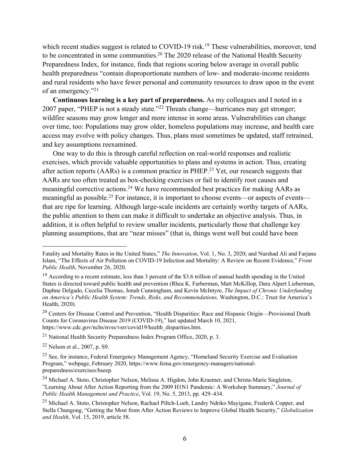which recent studies suggest is related to COVID-19 risk.<sup>19</sup> These vulnerabilities, moreover, tend to be concentrated in some communities.<sup>20</sup> The 2020 release of the National Health Security Preparedness Index, for instance, finds that regions scoring below average in overall public health preparedness "contain disproportionate numbers of low- and moderate-income residents and rural residents who have fewer personal and community resources to draw upon in the event of an emergency."21

**Continuous learning is a key part of preparedness.** As my colleagues and I noted in a 2007 paper, "PHEP is not a steady state."22 Threats change—hurricanes may get stronger; wildfire seasons may grow longer and more intense in some areas. Vulnerabilities can change over time, too: Populations may grow older, homeless populations may increase, and health care access may evolve with policy changes. Thus, plans must sometimes be updated, staff retrained, and key assumptions reexamined.

One way to do this is through careful reflection on real-world responses and realistic exercises, which provide valuable opportunities to plans and systems in action. Thus, creating after action reports ( $AARs$ ) is a common practice in PHEP.<sup>23</sup> Yet, our research suggests that AARs are too often treated as box-checking exercises or fail to identify root causes and meaningful corrective actions.24 We have recommended best practices for making AARs as meaningful as possible.<sup>25</sup> For instance, it is important to choose events—or aspects of events that are ripe for learning. Although large-scale incidents are certainly worthy targets of AARs, the public attention to them can make it difficult to undertake an objective analysis. Thus, in addition, it is often helpful to review smaller incidents, particularly those that challenge key planning assumptions, that are "near misses" (that is, things went well but could have been

<sup>21</sup> National Health Security Preparedness Index Program Office, 2020, p. 3.

<sup>22</sup> Nelson et al., 2007, p. S9.

Fatality and Mortality Rates in the United States," *The Innovation*, Vol. 1, No. 3, 2020; and Nurshad Ali and Farjana Islam, "The Effects of Air Pollution on COVID-19 Infection and Mortality: A Review on Recent Evidence," *Front Public Health*, November 26, 2020.

 $19$  According to a recent estimate, less than 3 percent of the \$3.6 trillion of annual health spending in the United States is directed toward public health and prevention (Rhea K. Farberman, Matt McKillop, Dara Alpert Lieberman, Daphne Delgado, Cecelia Thomas, Jonah Cunningham, and Kevin McIntyre, *The Impact of Chronic Underfunding on America's Public Health System: Trends, Risks, and Recommendations,* Washington, D.C.: Trust for America's Health, 2020).

<sup>&</sup>lt;sup>20</sup> Centers for Disease Control and Prevention, "Health Disparities: Race and Hispanic Origin—Provisional Death Counts for Coronavirus Disease 2019 (COVID-19)," last updated March 10, 2021, [https://www.cdc.gov/nchs/nvss/vsrr/covid19/health\\_disparities.htm.](https://www.cdc.gov/nchs/nvss/vsrr/covid19/health_disparities.htm)

<sup>&</sup>lt;sup>23</sup> See, for instance, Federal Emergency Management Agency, "Homeland Security Exercise and Evaluation" Program," webpage, February 2020, [https://www.fema.gov/emergency-managers/national](https://www.fema.gov/emergency-managers/national-preparedness/exercises/hseep)[preparedness/exercises/hseep.](https://www.fema.gov/emergency-managers/national-preparedness/exercises/hseep)

<sup>24</sup> Michael A. Stoto, Christopher Nelson, Melissa A. Higdon, John Kraemer, and Christa-Marie Singleton, "Learning About After Action Reporting from the 2009 H1N1 Pandemic: A Workshop Summary," *Journal of Public Health Management and Practice*, Vol. 19, No. 5, 2013, pp. 429–434.

<sup>&</sup>lt;sup>25</sup> Michael A. Stoto, Christopher Nelson, Rachael Piltch-Loeb, Landry Ndriko Mayigane, Frederik Copper, and Stella Chungong, "Getting the Most from After Action Reviews to Improve Global Health Security," *Globalization and Health*, Vol. 15, 2019, article 58.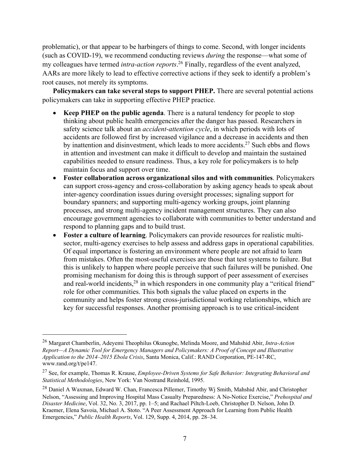problematic), or that appear to be harbingers of things to come. Second, with longer incidents (such as COVID-19), we recommend conducting reviews *during* the response—what some of my colleagues have termed *intra-action reports*. 26 Finally, regardless of the event analyzed, AARs are more likely to lead to effective corrective actions if they seek to identify a problem's root causes, not merely its symptoms.

**Policymakers can take several steps to support PHEP.** There are several potential actions policymakers can take in supporting effective PHEP practice.

- **Keep PHEP on the public agenda**. There is a natural tendency for people to stop thinking about public health emergencies after the danger has passed. Researchers in safety science talk about an *accident-attention cycle*, in which periods with lots of accidents are followed first by increased vigilance and a decrease in accidents and then by inattention and disinvestment, which leads to more accidents.<sup>27</sup> Such ebbs and flows in attention and investment can make it difficult to develop and maintain the sustained capabilities needed to ensure readiness. Thus, a key role for policymakers is to help maintain focus and support over time.
- **Foster collaboration across organizational silos and with communities**. Policymakers can support cross-agency and cross-collaboration by asking agency heads to speak about inter-agency coordination issues during oversight processes; signaling support for boundary spanners; and supporting multi-agency working groups, joint planning processes, and strong multi-agency incident management structures. They can also encourage government agencies to collaborate with communities to better understand and respond to planning gaps and to build trust.
- **Foster a culture of learning**. Policymakers can provide resources for realistic multisector, multi-agency exercises to help assess and address gaps in operational capabilities. Of equal importance is fostering an environment where people are not afraid to learn from mistakes. Often the most-useful exercises are those that test systems to failure. But this is unlikely to happen where people perceive that such failures will be punished. One promising mechanism for doing this is through support of peer assessment of exercises and real-world incidents,<sup>28</sup> in which responders in one community play a "critical friend" role for other communities. This both signals the value placed on experts in the community and helps foster strong cross-jurisdictional working relationships, which are key for successful responses. Another promising approach is to use critical-incident

<sup>26</sup> Margaret Chamberlin, Adeyemi Theophilus Okunogbe, Melinda Moore, and Mahshid Abir, *Intra-Action Report—A Dynamic Tool for Emergency Managers and Policymakers: A Proof of Concept and Illustrative Application to the 2014–2015 Ebola Crisis*, Santa Monica, Calif.: RAND Corporation, PE-147-RC, [www.rand.org/t/pe147.](http://www.rand.org/t/pe147)

<sup>27</sup> See, for example, Thomas R. Krause, *Employee-Driven Systems for Safe Behavior: Integrating Behavioral and Statistical Methodologies*, New York: Van Nostrand Reinhold, 1995.

<sup>&</sup>lt;sup>28</sup> Daniel A Waxman, Edward W. Chan, Francesca Pillemer, Timothy Wi Smith, Mahshid Abir, and Christopher Nelson, "Assessing and Improving Hospital Mass Casualty Preparedness: A No-Notice Exercise," *Prehospital and Disaster Medicine*, Vol. 32, No. 3, 2017, pp. 1–5; and Rachael Piltch-Loeb, Christopher D. Nelson, John D. Kraemer, Elena Savoia, Michael A. Stoto. "A Peer Assessment Approach for Learning from Public Health Emergencies," *Public Health Reports*, Vol. 129, Supp. 4, 2014, pp. 28–34.